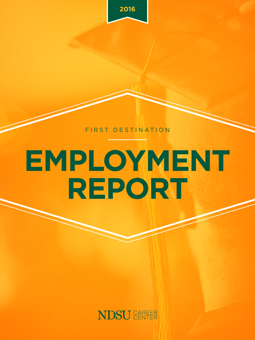

FIRST DESTINATION

# **EMPLOYMENT REPORT**

### **NDSU** CAREER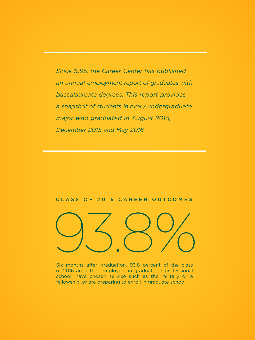*Since 1995, the Career Center has published an annual employment report of graduates with baccalaureate degrees. This report provides a snapshot of students in every undergraduate major who graduated in August 2015, December 2015 and May 2016.*

#### CLASS OF 2016 CAREER OUTCOMES



Six months after graduation, 93.8 percent of the class of 2016 are either employed, in graduate or professional school, have chosen service such as the military or a fellowship, or are preparing to enroll in graduate school.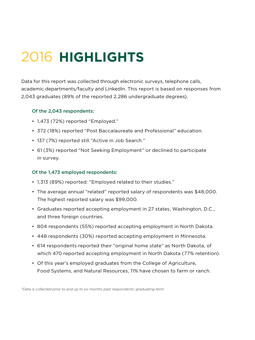# 2016 **HIGHLIGHTS**

Data for this report was collected through electronic surveys, telephone calls, academic departments/faculty and LinkedIn. This report is based on responses from 2,043 graduates (89% of the reported 2,286 undergraduate degrees).

#### Of the 2,043 respondents:

- 1,473 (72%) reported "Employed."
- 372 (18%) reported "Post Baccalaureate and Professional" education.
- 137 (7%) reported still "Active in Job Search."
- 61 (3%) reported "Not Seeking Employment" or declined to participate in survey.

#### Of the 1,473 employed respondents:

- 1,313 (89%) reported: "Employed related to their studies."
- The average annual "related" reported salary of respondents was \$48,000. The highest reported salary was \$99,000.
- Graduates reported accepting employment in 27 states, Washington, D.C., and three foreign countries.
- 804 respondents (55%) reported accepting employment in North Dakota.
- 448 respondents (30%) reported accepting employment in Minnesota.
- 614 respondents reported their "original home state" as North Dakota, of which 470 reported accepting employment in North Dakota (77% retention).
- Of this year's employed graduates from the College of Agriculture, Food Systems, and Natural Resources, 11% have chosen to farm or ranch.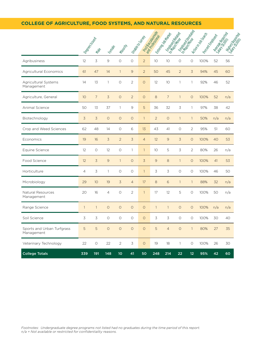#### **COLLEGE OF AGRICULTURE, FOOD SYSTEMS, AND NATURAL RESOURCES**

|                                          | I Briender     | Male           | Kemple         | Milositi       | I drago duties |                | andrigation description | <b>. money Restaurant</b><br>I Friend Bodder | to His one of  | l to providence | I Ritiridades<br>I Rocientes | Meadon Road<br><b>PROT</b> |     |
|------------------------------------------|----------------|----------------|----------------|----------------|----------------|----------------|-------------------------|----------------------------------------------|----------------|-----------------|------------------------------|----------------------------|-----|
| Agribusiness                             | 12             | 3              | $\overline{9}$ | $\circ$        | $\circ$        | $\overline{2}$ | 10 <sup>°</sup>         | 10                                           | $\circ$        | $\circ$         | 100%                         | 52                         | 56  |
| Agricultural Economics                   | 61             | 47             | 14             | $\mathbf{1}$   | 9              | $\overline{2}$ | 50                      | 45                                           | $\overline{2}$ | $\overline{3}$  | 94%                          | 45                         | 60  |
| Agricultural Systems<br>Management       | 14             | 13             | $\mathbf{1}$   | $\circ$        | $\overline{2}$ | $\circ$        | 12                      | 10                                           | $\mathbf{1}$   | 1               | 92%                          | 46                         | 52  |
| Agriculture, General                     | 10             | $\overline{7}$ | $\overline{3}$ | $\circ$        | $\overline{2}$ | $\circ$        | 8                       | $\overline{7}$                               | $\mathbf{1}$   | $\circ$         | 100%                         | 52                         | n/a |
| Animal Science                           | 50             | 13             | 37             | $\mathbf{1}$   | 9              | 5              | 36                      | 32                                           | 3              | 1               | 97%                          | 38                         | 42  |
| Biotechnology                            | 3              | $\overline{3}$ | $\circ$        | $\circ$        | $\circ$        | $\mathbf{1}$   | $\overline{2}$          | $\circ$                                      | $\mathbf{1}$   | $\mathbf{1}$    | 50%                          | n/a                        | n/a |
| Crop and Weed Sciences                   | 62             | 48             | 14             | $\circ$        | 6              | 13             | 43                      | 41                                           | $\circ$        | 2               | 95%                          | 51                         | 60  |
| Economics                                | 19             | 16             | $\overline{3}$ | $\overline{2}$ | $\overline{3}$ | $\overline{4}$ | 12                      | 9                                            | $\overline{3}$ | $\circ$         | 100%                         | 40                         | 53  |
| Equine Science                           | 12             | $\circ$        | 12             | $\circ$        | 1              | $\mathbf{1}$   | 10 <sup>°</sup>         | 5                                            | 3              | $\overline{2}$  | 80%                          | 26                         | n/a |
| Food Science                             | 12             | $\overline{3}$ | $\overline{9}$ | $\mathbf{1}$   | $\circ$        | $\overline{3}$ | $\overline{9}$          | 8                                            | $\mathbf{1}$   | $\circ$         | 100%                         | 41                         | 53  |
| Horticulture                             | $\overline{4}$ | 3              | $\mathbf{1}$   | $\circ$        | $\circ$        | $\mathbf{1}$   | 3                       | 3                                            | $\circ$        | $\circ$         | 100%                         | 46                         | 50  |
| Microbiology                             | 29             | 10             | 19             | $\overline{3}$ | $\overline{4}$ | 17             | $\,8\,$                 | 6                                            | $\mathbf{1}$   | $\mathbf{1}$    | 88%                          | 32                         | n/a |
| Natural Resources<br>Management          | 20             | 16             | $\overline{4}$ | $\circ$        | $\overline{2}$ | $\overline{1}$ | 17                      | 12                                           | 5              | $\circ$         | 100%                         | 50                         | n/a |
| Range Science                            | $\mathbf{1}$   | $\overline{1}$ | $\circ$        | $\circ$        | $\circ$        | $\circ$        | $\mathbf{1}$            | $\mathbf{1}$                                 | $\circ$        | $\circ$         | 100%                         | n/a                        | n/a |
| Soil Science                             | 3              | 3              | $\circ$        | $\circ$        | $\circ$        | $\circ$        | 3                       | 3                                            | $\circ$        | $\circ$         | 100%                         | 30                         | 40  |
| Sports and Urban Turfgrass<br>Management | 5              | 5              | $\circ$        | $\circ$        | $\circ$        | $\circ$        | 5                       | $\overline{4}$                               | $\circ$        | $\mathbf{1}$    | 80%                          | 27                         | 35  |
| Veterinary Technology                    | 22             | $\circ$        | 22             | $\overline{2}$ | 3              | $\circ$        | 19                      | 18                                           | $\mathbf{1}$   | $\circ$         | 100%                         | 26                         | 30  |
| <b>College Totals</b>                    | 339            | 191            | 148            | 10             | 41             | 50             | 248                     | 214                                          | 22             | 12              | 95%                          | 42                         | 60  |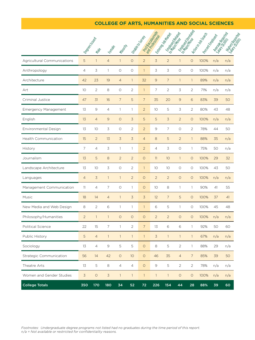#### **COLLEGE OF ARTS, HUMANITIES AND SOCIAL SCIENCES**

|                             |                          |                |                |                |                |                   | andorgan da dinas |                                     |                | I to policy depth | I Ritien des Gats | -Meage Roadway |     |
|-----------------------------|--------------------------|----------------|----------------|----------------|----------------|-------------------|-------------------|-------------------------------------|----------------|-------------------|-------------------|----------------|-----|
|                             | 1 Ogreg Keep             | · Male         | Kemple         | Million My     |                | I Unido to Sutton |                   | . molecules +<br>I Energy data area |                |                   | I Record Maple    | Japanese       |     |
| Agricultural Communications | 5                        | $\mathbf{1}$   | $\overline{4}$ | $\mathbf{1}$   | $\circ$        | $\overline{2}$    | 3                 | $\overline{2}$                      | $\mathbf{1}$   | $\circ$           | 100%              | n/a            | n/a |
| Anthropology                | 4                        | 3              | $\mathbf{1}$   | $\circ$        | $\circ$        | $\mathbf{1}$      | 3                 | 3                                   | 0              | 0                 | 100%              | n/a            | n/a |
| Architecture                | 42                       | 23             | 19             | $\overline{4}$ | $\mathbf{1}$   | 32                | 9                 | $\overline{7}$                      | $\mathbf{1}$   | $\mathbf{1}$      | 89%               | n/a            | n/a |
| Art                         | 10                       | $\overline{2}$ | 8              | $\circ$        | $\overline{2}$ | $\mathbf{1}$      | $\overline{7}$    | $\overline{c}$                      | 3              | $\overline{2}$    | 71%               | n/a            | n/a |
| Criminal Justice            | 47                       | 31             | 16             | $\overline{7}$ | 5              | $\overline{7}$    | 35                | 20                                  | $\mathsf{G}$   | 6                 | 83%               | 39             | 50  |
| <b>Emergency Management</b> | 13                       | 9              | $\overline{4}$ | 1              | 1              | $\overline{2}$    | 10                | 5                                   | 3              | $\overline{2}$    | 80%               | 43             | 48  |
| English                     | 13                       | $\overline{4}$ | $\mathcal{Q}$  | $\circ$        | $\overline{3}$ | 5                 | 5                 | 3                                   | $\overline{2}$ | $\circ$           | 100%              | n/a            | n/a |
| <b>Environmental Design</b> | 13                       | 10             | 3              | $\circ$        | $\overline{2}$ | $\overline{2}$    | 9                 | $\overline{7}$                      | $\circ$        | $\overline{2}$    | 78%               | 44             | 50  |
| Health Communication        | 15                       | $\overline{2}$ | 13             | 3              | 3              | $\overline{4}$    | 8                 | 5                                   | $\overline{2}$ | $\mathbf{1}$      | 88%               | 35             | n/a |
| History                     | $\overline{\phantom{a}}$ | $\overline{4}$ | 3              | $\mathbb{I}$   | $\mathbb{I}$   | $\overline{2}$    | $\overline{4}$    | 3                                   | 0              | $\mathbf{1}$      | 75%               | 50             | n/a |
| Journalism                  | 13                       | 5              | 8              | $\overline{2}$ | $\overline{2}$ | $\circ$           | 11                | 10                                  | $\mathbf{1}$   | $\circ$           | 100%              | 29             | 32  |
| Landscape Architecture      | 13                       | 10             | 3              | $\circ$        | $\overline{2}$ | $\mathbf{1}$      | 10                | 10                                  | O              | O                 | 100%              | 43             | 50  |
| Languages                   | $\overline{4}$           | $\overline{3}$ | $\mathbf{1}$   | $\mathbf{1}$   | $\overline{2}$ | $\circ$           | $\overline{2}$    | $\overline{2}$                      | $\circ$        | $\circ$           | 100%              | n/a            | n/a |
| Management Communication    | 11                       | $\overline{4}$ | $\overline{7}$ | $\circ$        | $\mathbb{I}$   | $\circ$           | 10                | 8                                   | 1              | 1                 | 90%               | 41             | 55  |
| Music                       | 18                       | 14             | $\overline{4}$ | $\mathbb{I}$   | 3              | $\overline{3}$    | 12                | $\overline{7}$                      | 5              | $\circ$           | 100%              | 37             | 41  |
| New Media and Web Design    | 8                        | $\overline{2}$ | 6              | $\mathbf{1}$   | $\mathbf{1}$   | $\mathbf{1}$      | 6                 | 5                                   | $\mathbf{1}$   | $\circ$           | 100%              | 45             | 48  |
| Philosophy/Humanities       | $\overline{2}$           | $\mathbf{1}$   | $\mathbf{1}$   | $\circ$        | $\circ$        | $\circ$           | $\overline{2}$    | $\overline{2}$                      | $\circ$        | $\circ$           | 100%              | n/a            | n/a |
| Political Science           | 22                       | 15             | $\overline{7}$ | $\mathbf{1}$   | $\overline{2}$ | $\overline{7}$    | 13                | 6                                   | 6              | $\mathbf{1}$      | 92%               | 50             | 60  |
| Public History              | 5                        | $\overline{4}$ | $\mathbb{I}$   | $\mathbb{I}$   | $\mathbf{1}$   | $\mathbf{1}$      | 3                 | $\mathbf{1}$                        | 1              | $\mathbf{1}$      | 67%               | n/a            | n/a |
| Sociology                   | 13                       | $\overline{4}$ | $\overline{9}$ | 5              | 5              | $\circ$           | 8                 | 5                                   | $\overline{2}$ | 1                 | 88%               | 29             | n/a |
| Strategic Communication     | 56                       | 14             | 42             | $\circ$        | 10             | $\circ$           | 46                | 35                                  | $\overline{4}$ | $\overline{7}$    | 85%               | 39             | 50  |
| Theatre Arts                | 13                       | 5              | 8              | $\overline{4}$ | $\overline{4}$ | $\circ$           | 9                 | 5                                   | $\overline{2}$ | $\overline{2}$    | 78%               | n/a            | n/a |
| Women and Gender Studies    | 3                        | $\circ$        | $\overline{3}$ | $\mathbf{1}$   | $\mathbf{1}$   | $\mathbf{1}$      | $\mathbf{1}$      | $\mathbf{1}$                        | $\circ$        | $\circ$           | 100%              | n/a            | n/a |
| <b>College Totals</b>       | 350                      | 170            | 180            | 34             | 52             | 72                | 226               | 154                                 | 44             | 28                | 88%               | 39             | 60  |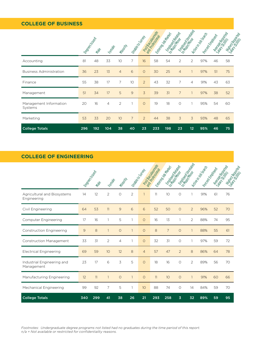#### **COLLEGE OF BUSINESS**

|                                   | Dependence | Male | Kemple         | Millowski      | Unable Ostribus |                | andorda George | to more response<br>Entrancial data | to manufactures and |                | Active Hobbert<br>Porcint Control Data |    | Merge Rondon<br>Ngjapor<br>Partes Reported |
|-----------------------------------|------------|------|----------------|----------------|-----------------|----------------|----------------|-------------------------------------|---------------------|----------------|----------------------------------------|----|--------------------------------------------|
| Accounting                        | 81         | 48   | 33             | 10             | 7               | 16             | 58             | 54                                  | $\overline{2}$      | $\overline{2}$ | 97%                                    | 46 | 58                                         |
| <b>Business Administration</b>    | 36         | 23   | 13             | $\overline{4}$ | 6               | $\circ$        | 30             | 25                                  | $\overline{4}$      | $\mathbf{1}$   | 97%                                    | 51 | 75                                         |
| Finance                           | 55         | 38   | 17             | $\overline{7}$ | 10              | $\overline{2}$ | 43             | 32                                  | $\overline{7}$      | $\overline{4}$ | 91%                                    | 43 | 63                                         |
| Management                        | 51         | 34   | 17             | 5              | 9               | 3              | 39             | 31                                  | $\overline{7}$      | $\mathbf{1}$   | 97%                                    | 38 | 52                                         |
| Management Information<br>Systems | 20         | 16   | $\overline{4}$ | $\overline{2}$ |                 | $\circ$        | 19             | 18                                  | $\circ$             |                | 95%                                    | 54 | 60                                         |
| Marketing                         | 53         | 33   | 20             | 10             | $\overline{7}$  | $\mathfrak{D}$ | 44             | 38                                  | 3                   | 3              | 93%                                    | 48 | 65                                         |
| <b>College Totals</b>             | 296        | 192  | 104            | 38             | 40              | 23             | 233            | 198                                 | 23                  | 12             | 95%                                    | 46 | 75                                         |

#### **COLLEGE OF ENGINEERING**

|                                            | Dependent |      |                |                | Undo Co Urtis  |                | andor Cascian Rate | to motorcycle<br>Entroja de Maria | o money<br>originalization |                | Active Trap Garcia<br>Porcint Control Dep |    | Mierge<br>Pari de Roma<br>Nighey Registración |
|--------------------------------------------|-----------|------|----------------|----------------|----------------|----------------|--------------------|-----------------------------------|----------------------------|----------------|-------------------------------------------|----|-----------------------------------------------|
|                                            |           | Male | Kemple         | Millouth       |                |                |                    |                                   |                            |                |                                           |    |                                               |
| Agricultural and Biosystems<br>Engineering | 14        | 12   | $\overline{2}$ | 0              | $\overline{2}$ | $\overline{1}$ | 11                 | 10                                | $\Omega$                   | 1              | 91%                                       | 61 | 76                                            |
| Civil Engineering                          | 64        | 53   | 11             | 9              | 6              | 6              | 52                 | 50                                | $\circ$                    | $\overline{2}$ | 96%                                       | 52 | 70                                            |
| Computer Engineering                       | 17        | 16   | 1              | 5              | $\mathbf{1}$   | $\Omega$       | 16                 | 13                                | 1                          | $\overline{2}$ | 88%                                       | 74 | 95                                            |
| <b>Construction Engineering</b>            | 9         | 8    | $\mathbf{1}$   | $\circ$        |                | $\circ$        | 8                  | $\overline{7}$                    | $\circ$                    | $\mathbf{1}$   | 88%                                       | 55 | 61                                            |
| Construction Management                    | 33        | 31   | 2              | $\overline{4}$ | 1              | $\Omega$       | 32                 | 31                                | $\circ$                    | 1              | 97%                                       | 59 | 72                                            |
| <b>Electrical Engineering</b>              | 69        | 59   | 10             | 12             | 8              | $\overline{4}$ | 57                 | 47                                | $\overline{2}$             | 8              | 86%                                       | 64 | 78                                            |
| Industrial Engineering and<br>Management   | 23        | 17   | 6              | 3              | 5              | $\circ$        | 18                 | 16                                | $\circ$                    | $\overline{2}$ | 89%                                       | 56 | 70                                            |
| Manufacturing Engineering                  | 12        | 11   | $\mathbf{1}$   | $\circ$        | $\overline{1}$ | $\circ$        | 11                 | 10                                | $\circ$                    | 1              | 91%                                       | 60 | 66                                            |
| Mechanical Engineering                     | 99        | 92   | 7              | 5              | 1              | 10             | 88                 | 74                                | $\Omega$                   | 14             | 84%                                       | 59 | 70                                            |
| <b>College Totals</b>                      | 340       | 299  | 41             | 38             | 26             | 21             | 293                | 258                               | 3                          | 32             | 89%                                       | 59 | 95                                            |

*Footnotes: Undergraduate degree programs not listed had no graduates during the time period of this report. n/a = Not available or restricted for confidentiality reasons.*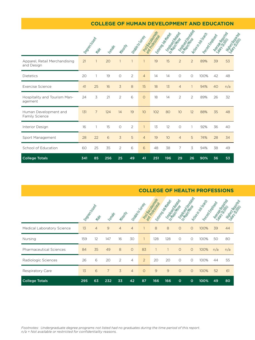#### **COLLEGE OF HUMAN DEVELOPMENT AND EDUCATION**

|                                             | Dapas dep | Male           | Kemple | Millonit       |                | Indije to Urtis | angregorian | to motorcycle<br>Entrancial del Michiga |                | to money and detail | Acti <sub>de in de Gatori</sub><br>Porcint Control Dep |    | Merge Roman<br>Nijohey<br>Perfect Report |
|---------------------------------------------|-----------|----------------|--------|----------------|----------------|-----------------|-------------|-----------------------------------------|----------------|---------------------|--------------------------------------------------------|----|------------------------------------------|
| Apparel, Retail Merchandising<br>and Design | 21        | $\mathbf{1}$   | 20     | $\overline{1}$ |                | $\mathbf{1}$    | 19          | 15                                      | $\overline{2}$ | $\overline{2}$      | 89%                                                    | 39 | 53                                       |
| <b>Dietetics</b>                            | 20        | $\mathbf{1}$   | 19     | $\circ$        | $\overline{2}$ | $\overline{4}$  | 14          | 14                                      | $\circ$        | $\circ$             | 100%                                                   | 42 | 48                                       |
| <b>Exercise Science</b>                     | 41        | 25             | 16     | 3              | 8              | 15              | 18          | 13                                      | $\overline{4}$ |                     | 94%                                                    | 40 | n/a                                      |
| Hospitality and Tourism Man-<br>agement     | 24        | 3              | 21     | $\overline{2}$ | 6              | $\circ$         | 18          | 14                                      | $\overline{2}$ | $\overline{2}$      | 89%                                                    | 26 | 32                                       |
| Human Development and<br>Family Science     | 131       | $\overline{7}$ | 124    | 14             | 19             | 10              | 102         | 80                                      | 10             | 12                  | 88%                                                    | 35 | 48                                       |
| Interior Design                             | 16        | 1              | 15     | $\circ$        | $\overline{2}$ | $\mathbf{1}$    | 13          | 12                                      | $\circ$        |                     | 92%                                                    | 36 | 40                                       |
| Sport Management                            | 28        | 22             | 6      | 3              | 5              | $\overline{4}$  | 19          | 10                                      | $\overline{4}$ | 5                   | 74%                                                    | 28 | 34                                       |
| School of Education                         | 60        | 25             | 35     | $\overline{2}$ | 6              | 6               | 48          | 38                                      | 7              | 3                   | 94%                                                    | 38 | 49                                       |
| <b>College Totals</b>                       | 341       | 85             | 256    | 25             | 49             | 41              | 251         | 196                                     | 29             | 26                  | 90%                                                    | 36 | 53                                       |

#### **COLLEGE OF HEALTH PROFESSIONS**

|                                | Dependence | Now            | Female         | Millowski      |                | Unable To Virtue | Porcintage   | Entrancie data | Employed Read |         | Action des description<br>Rotentino Reg |     | Meage Reports<br>Yakey<br>Tarih Regeria |  |
|--------------------------------|------------|----------------|----------------|----------------|----------------|------------------|--------------|----------------|---------------|---------|-----------------------------------------|-----|-----------------------------------------|--|
| Medical Laboratory Science     | 13         | $\overline{4}$ | 9              | $\overline{4}$ | $\overline{4}$ |                  | 8            | 8              | $\Omega$      | $\circ$ | 100%                                    | 39  | 44                                      |  |
| Nursing                        | 159        | 12             | 147            | 16             | 30             |                  | 128          | 128            | $\circ$       | $\circ$ | 100%                                    | 50  | 80                                      |  |
| <b>Pharmaceutical Sciences</b> | 84         | 35             | 49             | 8              | $\circ$        | 83               |              |                | $\circ$       | $\circ$ | 100%                                    | n/a | n/a                                     |  |
| Radiologic Sciences            | 26         | 6              | 20             | $\mathcal{P}$  | $\overline{4}$ | $\overline{2}$   | 20           | 20             | $\Omega$      | $\circ$ | 100%                                    | 44  | 55                                      |  |
| Respiratory Care               | 13         | 6              | $\overline{7}$ | 3              | $\overline{4}$ | $\circ$          | $\mathbf{9}$ | $\mathbf{9}$   | $\circ$       | $\circ$ | 100%                                    | 52  | 61                                      |  |
| <b>College Totals</b>          | 295        | 63             | 232            | 33             | 42             | 87               | 166          | 166            | $\circ$       | $\circ$ | 100%                                    | 49  | 80                                      |  |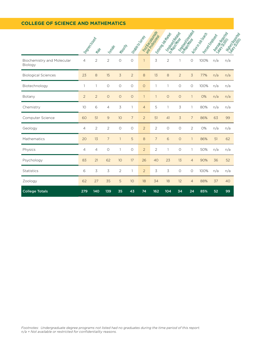#### **COLLEGE OF SCIENCE AND MATHEMATICS**

|                                       |                          |                |                |                 |                |                  | empressive del distributo | l o monte de la<br>Litting of the River | l o finologia  |                | Milkingson<br>Lacamentalista |     | 1-8/1899<br>1-96/290 1999<br>Listney.com |
|---------------------------------------|--------------------------|----------------|----------------|-----------------|----------------|------------------|---------------------------|-----------------------------------------|----------------|----------------|------------------------------|-----|------------------------------------------|
|                                       | I Ree <sub>d Speep</sub> | Male           | <b>Female</b>  | Million M.      |                | Lable to Urtilla |                           |                                         |                |                |                              |     |                                          |
| Biochemistry and Molecular<br>Biology | 4                        | $\overline{2}$ | $\overline{2}$ | $\circ$         | $\circ$        | $\overline{1}$   | 3                         | 2                                       | 1              | 0              | 100%                         | n/a | n/a                                      |
| <b>Biological Sciences</b>            | 23                       | 8              | 15             | $\overline{3}$  | $\overline{2}$ | 8                | 13                        | 8                                       | $\overline{2}$ | $\overline{3}$ | 77%                          | n/a | n/a                                      |
| Biotechnology                         | $\mathbf{1}$             | $\mathbf{1}$   | $\circ$        | $\circ$         | $\circ$        | $\circ$          | $\mathbf{1}$              | $\mathbf{1}$                            | $\circ$        | $\circ$        | 100%                         | n/a | n/a                                      |
| Botany                                | $\overline{2}$           | $\overline{2}$ | $\circ$        | $\circ$         | $\circ$        | $\mathbf{1}$     | $\mathbf{1}$              | $\circ$                                 | $\circ$        | $\mathbf{1}$   | 0%                           | n/a | n/a                                      |
| Chemistry                             | 10                       | 6              | $\overline{4}$ | 3               | $\mathbf{1}$   | $\overline{4}$   | 5                         | 1                                       | 3              | $\mathbf{1}$   | 80%                          | n/a | n/a                                      |
| Computer Science                      | 60                       | 51             | 9              | 10              | $\overline{7}$ | $\overline{2}$   | 51                        | 41                                      | 3              | $\overline{7}$ | 86%                          | 63  | 99                                       |
| Geology                               | 4                        | $\overline{2}$ | $\overline{c}$ | $\circ$         | $\circ$        | $\overline{2}$   | $\overline{c}$            | $\circ$                                 | $\circ$        | $\overline{2}$ | <b>O%</b>                    | n/a | n/a                                      |
| Mathematics                           | 20                       | 13             | $\overline{7}$ | $\mathbf{1}$    | 5              | 8                | $\overline{7}$            | 6                                       | $\circ$        | $\mathbf{1}$   | 86%                          | 51  | 62                                       |
| Physics                               | 4                        | 4              | $\circ$        | $\mathbf{1}$    | $\circ$        | $\overline{2}$   | $\overline{2}$            | 1                                       | $\circ$        | $\mathbf{1}$   | 50%                          | n/a | n/a                                      |
| Psychology                            | 83                       | 21             | 62             | 10 <sup>°</sup> | 17             | 26               | 40                        | 23                                      | 13             | $\overline{4}$ | 90%                          | 36  | 52                                       |
| <b>Statistics</b>                     | 6                        | 3              | 3              | $\overline{2}$  | $\mathbf{1}$   | $\overline{2}$   | 3                         | 3                                       | $\circ$        | $\circ$        | 100%                         | n/a | n/a                                      |
| Zoology                               | 62                       | 27             | 35             | 5               | 10             | 18               | 34                        | 18                                      | 12             | $\overline{4}$ | 88%                          | 37  | 40                                       |
| <b>College Totals</b>                 | 279                      | 140            | 139            | 35              | 43             | 74               | 162                       | 104                                     | 34             | 24             | 85%                          | 52  | 99                                       |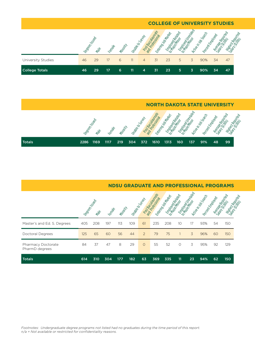|                       |               |      |        |          |               |                |    | <b>COLLEGE OF UNIVERSITY STUDIES</b> |          |        |                                       |        |        |        |
|-----------------------|---------------|------|--------|----------|---------------|----------------|----|--------------------------------------|----------|--------|---------------------------------------|--------|--------|--------|
|                       | Romeon Kilder | Alge | Cemple | Milletty | Imade do City | Baccat<br>2021 |    | Friends Bottom                       | Relation | ieldeo | Articain do Santo<br>Pacific Employee | Nicola | Daried | 10/160 |
| University Studies    | 46            | 29   | 17     | 6        | 11            | $\overline{4}$ | 31 | 23                                   | 5        | 3      | 90%                                   | 34     | 47     |        |
| <b>College Totals</b> | 46            | 29   | 17     | 6        | 11            | 4              | 31 | 23                                   | 5        | 3      | 90%                                   | 34     | 47     |        |

**NORTH DAKOTA STATE UNIVERSITY Degrees Island** Male Female Minority Portography A Vapoo<br>Medicine Employed Text<br>Major Minor Riked<br>Trip in Job Search Percent Employe Average Reported Sarage Radio Higher Reported Salary Road Totals 2286 1169 1117 219 304 372 1610 1313 160 137 91% 48 99

|                                      | <b>NDSU GRADUATE AND PROFESSIONAL PROGRAMS</b> |      |        |          |                   |               |                   |              |                 |                |                                   |                |        |            |
|--------------------------------------|------------------------------------------------|------|--------|----------|-------------------|---------------|-------------------|--------------|-----------------|----------------|-----------------------------------|----------------|--------|------------|
|                                      | Dapter String                                  | Male | Female | Minority | Unable To Science |               | andor Goldwington | Knew You May | teorienten      | reor Incorps   | Active Hotopson<br>Rotomics Motor | <b>Mucrops</b> | Roomeo | Heppy Text |
| Master's and Ed. S. Degrees          | 405                                            | 208  | 197    | 113      | 109               | 61            | 235               | 208          | 10 <sup>2</sup> | 17             | 93%                               | 54             | 150    |            |
| Doctoral Degrees                     | 125                                            | 65   | 60     | 56       | 44                | $\mathcal{P}$ | 79                | 75           |                 | $\overline{5}$ | 96%                               | 60             | 150    |            |
| Pharmacy Doctorate<br>PharmD degrees | 84                                             | 37   | 47     | 8        | 29                | $\Omega$      | 55                | 52           | $\Omega$        | 3              | 95%                               | 92             | 129    |            |
| <b>Totals</b>                        | 614                                            | 310  | 304    | 177      | 182               | 63            | 369               | 335          | 11              | 23             | 94%                               | 62             | 150    |            |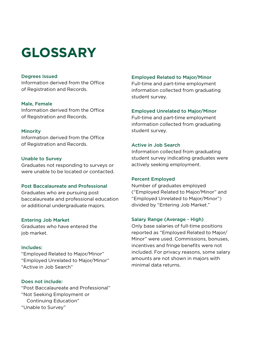### **GLOSSARY**

#### Degrees Issued

Information derived from the Office of Registration and Records.

#### Male, Female

Information derived from the Office of Registration and Records.

#### Minority

Information derived from the Office of Registration and Records.

#### Unable to Survey

Graduates not responding to surveys or were unable to be located or contacted.

#### Post Baccalaureate and Professional

Graduates who are pursuing post baccalaureate and professional education or additional undergraduate majors.

#### Entering Job Market

Graduates who have entered the job market.

#### Includes:

"Employed Related to Major/Minor" "Employed Unrelated to Major/Minor" "Active in Job Search"

#### Does not include:

"Post Baccalaureate and Professional" "Not Seeking Employment or Continuing Education" "Unable to Survey"

#### Employed Related to Major/Minor

Full-time and part-time employment information collected from graduating student survey.

#### Employed Unrelated to Major/Minor

Full-time and part-time employment information collected from graduating student survey.

#### Active in Job Search

Information collected from graduating student survey indicating graduates were actively seeking employment.

#### Percent Employed

Number of graduates employed ("Employed Related to Major/Minor" and "Employed Unrelated to Major/Minor") divided by "Entering Job Market."

#### Salary Range (Average - High)

Only base salaries of full-time positions reported as "Employed Related to Major/ Minor" were used. Commissions, bonuses, incentives and fringe benefits were not included. For privacy reasons, some salary amounts are not shown in majors with minimal data returns.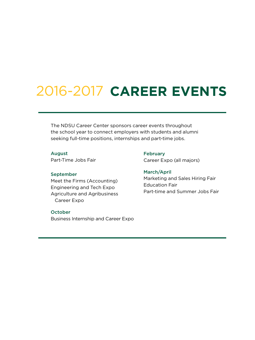## 2016-2017 **CAREER EVENTS**

The NDSU Career Center sponsors career events throughout the school year to connect employers with students and alumni seeking full-time positions, internships and part-time jobs.

#### August

Part-Time Jobs Fair

#### September

Meet the Firms (Accounting) Engineering and Tech Expo Agriculture and Agribusiness Career Expo

#### October

Business Internship and Career Expo

#### March/April

February

Marketing and Sales Hiring Fair Education Fair Part-time and Summer Jobs Fair

Career Expo (all majors)